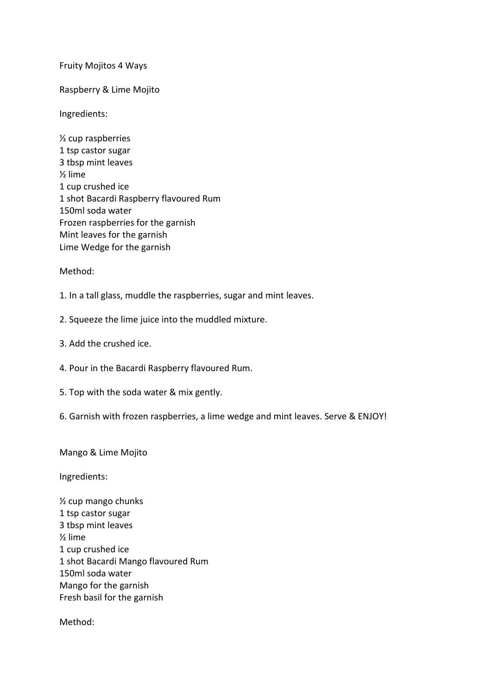## Fruity Mojitos 4 Ways

Raspberry & Lime Mojito

Ingredients:

½ cup raspberries 1 tsp castor sugar 3 tbsp mint leaves ½ lime 1 cup crushed ice 1 shot Bacardi Raspberry flavoured Rum 150ml soda water Frozen raspberries for the garnish Mint leaves for the garnish Lime Wedge for the garnish

Method:

1. In a tall glass, muddle the raspberries, sugar and mint leaves.

2. Squeeze the lime juice into the muddled mixture.

- 3. Add the crushed ice.
- 4. Pour in the Bacardi Raspberry flavoured Rum.
- 5. Top with the soda water & mix gently.
- 6. Garnish with frozen raspberries, a lime wedge and mint leaves. Serve & ENJOY!

Mango & Lime Mojito

Ingredients:

½ cup mango chunks 1 tsp castor sugar 3 tbsp mint leaves ½ lime 1 cup crushed ice 1 shot Bacardi Mango flavoured Rum 150ml soda water Mango for the garnish Fresh basil for the garnish

Method: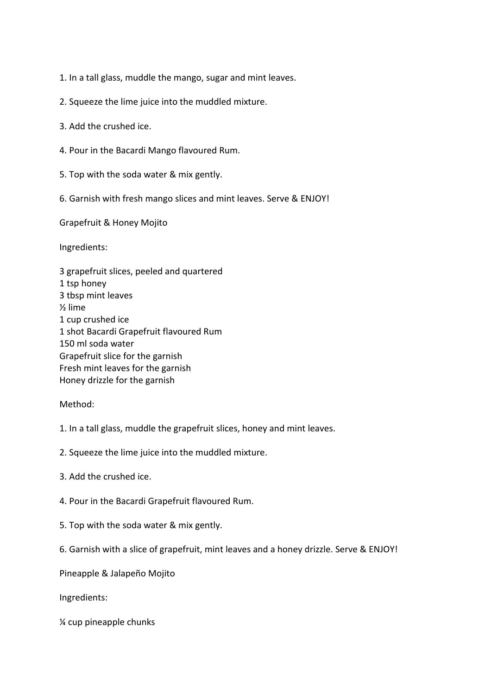1. In a tall glass, muddle the mango, sugar and mint leaves.

- 2. Squeeze the lime juice into the muddled mixture.
- 3. Add the crushed ice.
- 4. Pour in the Bacardi Mango flavoured Rum.
- 5. Top with the soda water & mix gently.
- 6. Garnish with fresh mango slices and mint leaves. Serve & ENJOY!

Grapefruit & Honey Mojito

Ingredients:

3 grapefruit slices, peeled and quartered 1 tsp honey 3 tbsp mint leaves ½ lime 1 cup crushed ice 1 shot Bacardi Grapefruit flavoured Rum 150 ml soda water Grapefruit slice for the garnish Fresh mint leaves for the garnish Honey drizzle for the garnish

## Method:

- 1. In a tall glass, muddle the grapefruit slices, honey and mint leaves.
- 2. Squeeze the lime juice into the muddled mixture.
- 3. Add the crushed ice.
- 4. Pour in the Bacardi Grapefruit flavoured Rum.
- 5. Top with the soda water & mix gently.
- 6. Garnish with a slice of grapefruit, mint leaves and a honey drizzle. Serve & ENJOY!
- Pineapple & Jalapeño Mojito

Ingredients:

¼ cup pineapple chunks